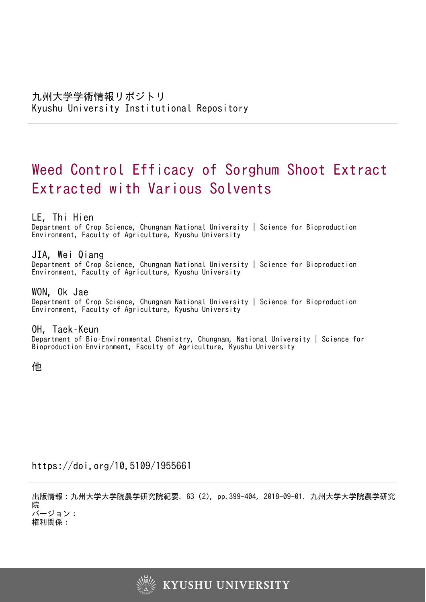# Weed Control Efficacy of Sorghum Shoot Extract Extracted with Various Solvents

# LE, Thi Hien

Department of Crop Science, Chungnam National University | Science for Bioproduction Environment, Faculty of Agriculture, Kyushu University

# JIA, Wei Qiang

Department of Crop Science, Chungnam National University | Science for Bioproduction Environment, Faculty of Agriculture, Kyushu University

# WON, Ok Jae

Department of Crop Science, Chungnam National University | Science for Bioproduction Environment, Faculty of Agriculture, Kyushu University

# OH, Taek–Keun

Department of Bio–Environmental Chemistry, Chungnam, National University | Science for Bioproduction Environment, Faculty of Agriculture, Kyushu University

他

# https://doi.org/10.5109/1955661

出版情報:九州大学大学院農学研究院紀要. 63 (2), pp.399-404, 2018-09-01. 九州大学大学院農学研究 院 バージョン:

権利関係:

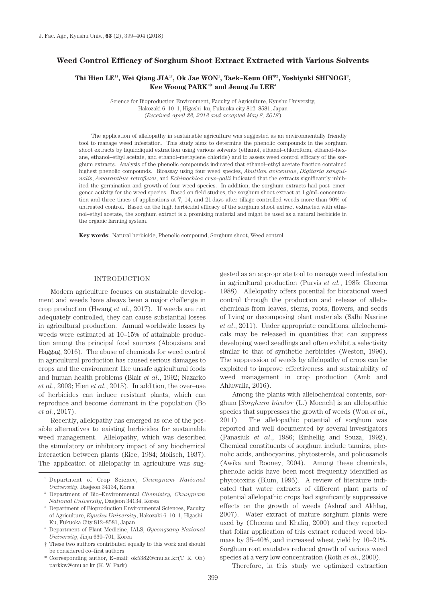# **Weed Control Efficacy of Sorghum Shoot Extract Extracted with Various Solvents**

# Thi Hien LE<sup>1†</sup>, Wei Qiang JIA<sup>1†</sup>, Ok Jae WON<sup>1</sup>, Taek–Keun OH<sup>\*2</sup>, Yoshiyuki SHINOGI<sup>3</sup>, **Kee Woong PARK1 \* and Jeung Ju LEE4**

Science for Bioproduction Environment, Faculty of Agriculture, Kyushu University, Hakozaki 6–10–1, Higashi–ku, Fukuoka city 812–8581, Japan (*Received April 28, 2018 and accepted May 8, 2018*)

The application of allelopathy in sustainable agriculture was suggested as an environmentally friendly tool to manage weed infestation. This study aims to determine the phenolic compounds in the sorghum shoot extracts by liquid:liquid extraction using various solvents (ethanol, ethanol–chloroform, ethanol–hexane, ethanol–ethyl acetate, and ethanol–methylene chloride) and to assess weed control efficacy of the sorghum extracts. Analysis of the phenolic compounds indicated that ethanol–ethyl acetate fraction contained highest phenolic compounds. Bioassay using four weed species, *Abutilon avicennae*, *Digitaria sanguinalis*, *Amaranthus retroflexu*, and *Echinochloa crus–galli* indicated that the extracts significantly inhibited the germination and growth of four weed species. In addition, the sorghum extracts had post–emergence activity for the weed species. Based on field studies, the sorghum shoot extract at  $1 \cancel{g/m}$  concentration and three times of applications at 7, 14, and 21 days after tillage controlled weeds more than 90% of untreated control. Based on the high herbicidal efficacy of the sorghum shoot extract extracted with ethanol–ethyl acetate, the sorghum extract is a promising material and might be used as a natural herbicide in the organic farming system.

**Key words**: Natural herbicide, Phenolic compound, Sorghum shoot, Weed control

#### INTRODUCTION

Modern agriculture focuses on sustainable development and weeds have always been a major challenge in crop production (Hwang *et al*., 2017). If weeds are not adequately controlled, they can cause substantial losses in agricultural production. Annual worldwide losses by weeds were estimated at 10–15% of attainable production among the principal food sources (Abouziena and Haggag, 2016). The abuse of chemicals for weed control in agricultural production has caused serious damages to crops and the environment like unsafe agricultural foods and human health problems (Blair *et al*., 1992; Nazarko *et al.*, 2003; Hien *et al.*, 2015). In addition, the over–use of herbicides can induce resistant plants, which can reproduce and become dominant in the population (Bo *et al.*, 2017).

Recently, allelopathy has emerged as one of the possible alternatives to existing herbicides for sustainable weed management. Allelopathy, which was described the stimulatory or inhibitory impact of any biochemical interaction between plants (Rice, 1984; Molisch, 1937). The application of allelopathy in agriculture was suggested as an appropriate tool to manage weed infestation in agricultural production (Purvis *et al.*, 1985; Cheema 1988). Allelopathy offers potential for biorational weed control through the production and release of allelochemicals from leaves, stems, roots, flowers, and seeds of living or decomposing plant materials (Salhi Nasrine *et al*., 2011). Under appropriate conditions, allelochemicals may be released in quantities that can suppress developing weed seedlings and often exhibit a selectivity similar to that of synthetic herbicides (Weston, 1996). The suppression of weeds by allelopathy of crops can be exploited to improve effectiveness and sustainability of weed management in crop production (Amb and Ahluwalia, 2016).

Among the plants with allelochemical contents, sorghum [*Sorghum bicolor* (L.) Moench] is an allelopathic species that suppresses the growth of weeds (Won *et al*., 2011). The allelopathic potential of sorghum was reported and well documented by several investigators (Panasiuk *et al*., 1986; Einhellig and Souza, 1992). Chemical constituents of sorghum include tannins, phenolic acids, anthocyanins, phytosterols, and policosanols (Awika and Rooney, 2004). Among these chemicals, phenolic acids have been most frequently identified as phytotoxins (Blum, 1996). A review of literature indicated that water extracts of different plant parts of potential allelopathic crops had significantly suppressive effects on the growth of weeds (Ashraf and Akhlaq, 2007). Water extract of mature sorghum plants were used by (Cheema and Khaliq, 2000) and they reported that foliar application of this extract reduced weed biomass by 35–40%, and increased wheat yield by 10–21%. Sorghum root exudates reduced growth of various weed species at a very low concentration (Roth *et al*., 2000).

Therefore, in this study we optimized extraction

<sup>1</sup> Department of Crop Science, *Chungnam National University*, Daejeon 34134, Korea

<sup>2</sup> Department of Bio–Environmental *Chemistry, Chungnam National University*, Daejeon 34134, Korea

<sup>&</sup>lt;sup>3</sup> Department of Bioproduction Environmental Sciences, Faculty of Agriculture, *Kyushu University*, Hakozaki 6–10–1, Higashi– Ku, Fukuoka City 812–8581, Japan

<sup>4</sup> Department of Plant Medicine, IALS, *Gyeongsang National University*, Jinju 660–701, Korea

<sup>†</sup> These two authors contributed equally to this work and should be considered co–first authors

<sup>\*</sup> Corresponding author, E–mail: ok5382@cnu.ac.kr(T. K. Oh) parkkw@cnu.ac.kr (K. W. Park)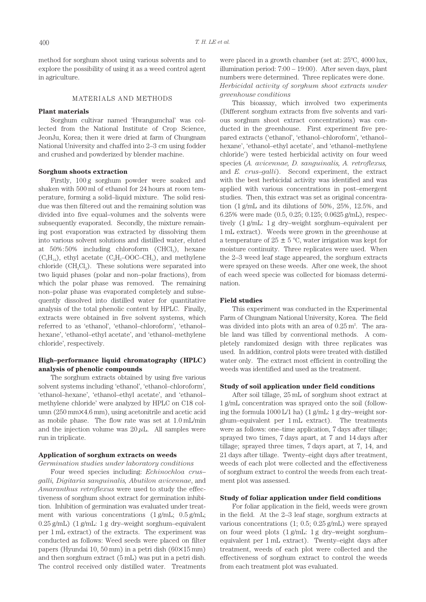method for sorghum shoot using various solvents and to explore the possibility of using it as a weed control agent in agriculture.

## MATERIALS AND METHODS

#### **Plant materials**

Sorghum cultivar named 'Hwangumchal' was collected from the National Institute of Crop Science, JeonJu, Korea; then it were dried at farm of Chungnam National University and chaffed into 2–3 cm using fodder and crushed and powderized by blender machine.

#### **Sorghum shoots extraction**

Firstly, 100 g sorghum powder were soaked and shaken with 500 ml of ethanol for 24 hours at room temperature, forming a solid–liquid mixture. The solid residue was then filtered out and the remaining solution was divided into five equal–volumes and the solvents were subsequently evaporated. Secondly, the mixture remaining post evaporation was extracted by dissolving them into various solvent solutions and distilled water, eluted at  $50\% : 50\%$  including chloroform (CHCl<sub>3</sub>), hexane  $(C_6H_{14})$ , ethyl acetate  $(C_2H_5$ –OOC–CH<sub>3</sub>), and methylene chloride ( $CH<sub>2</sub>Cl<sub>2</sub>$ ). These solutions were separated into two liquid phases (polar and non–polar fractions), from which the polar phase was removed. The remaining non–polar phase was evaporated completely and subsequently dissolved into distilled water for quantitative analysis of the total phenolic content by HPLC. Finally, extracts were obtained in five solvent systems, which referred to as 'ethanol', 'ethanol–chloroform', 'ethanol– hexane', 'ethanol–ethyl acetate', and 'ethanol–methylene chloride', respectively.

# **High–performance liquid chromatography (HPLC) analysis of phenolic compounds**

The sorghum extracts obtained by using five various solvent systems including 'ethanol', 'ethanol–chloroform', 'ethanol–hexane', 'ethanol–ethyl acetate', and 'ethanol– methylene chloride' were analyzed by HPLC on C18 column (250 mm×4.6 mm), using acetonitrile and acetic acid as mobile phase. The flow rate was set at 1.0 mL/min and the injection volume was  $20 \mu L$ . All samples were run in triplicate.

#### **Application of sorghum extracts on weeds**

#### *Germination studies under laboratory conditions*

Four weed species including: *Echinochloa crus– galli, Digitaria sanguinalis, Abutilon avicennae*, and *Amaranthus retroflexus* were used to study the effectiveness of sorghum shoot extract for germination inhibition. Inhibition of germination was evaluated under treatment with various concentrations (1 g/mL; 0.5 g/mL; 0.25 g/mL) (1 g/mL: 1 g dry–weight sorghum–equivalent per 1 mL extract) of the extracts. The experiment was conducted as follows: Weed seeds were placed on filter papers (Hyundai 10, 50 mm) in a petri dish (60×15 mm) and then sorghum extract (5 mL) was put in a petri dish. The control received only distilled water. Treatments

were placed in a growth chamber (set at: 25ºC, 4000 lux, illumination period: 7:00 – 19:00). After seven days, plant numbers were determined. Three replicates were done. *Herbicidal activity of sorghum shoot extracts under greenhouse conditions*

This bioassay, which involved two experiments (Different sorghum extracts from five solvents and various sorghum shoot extract concentrations) was conducted in the greenhouse. First experiment five prepared extracts ('ethanol', 'ethanol–chloroform', 'ethanol– hexane', 'ethanol–ethyl acetate', and 'ethanol–methylene chloride') were tested herbicidal activity on four weed species (*A. avicennae, D. sanguinalis, A. retroflexus,*  and *E. crus–galli*). Second experiment, the extract with the best herbicidal activity was identified and was applied with various concentrations in post–emergent studies. Then, this extract was set as original concentration (1 g/mL and its dilutions of 50%, 25%, 12.5%, and 6.25% were made (0.5, 0.25; 0.125; 0.0625 g/mL), respectively (1 g/mL: 1 g dry–weight sorghum–equivalent per 1 mL extract). Weeds were grown in the greenhouse at a temperature of  $25 \pm 5$  °C, water irrigation was kept for moisture continuity. Three replicates were used. When the 2–3 weed leaf stage appeared, the sorghum extracts were sprayed on these weeds. After one week, the shoot of each weed specie was collected for biomass determination.

## **Field studies**

This experiment was conducted in the Experimental Farm of Chungnam National University, Korea. The field was divided into plots with an area of  $0.25 \text{ m}^2$ . The arable land was tilled by conventional methods. A completely randomized design with three replicates was used. In addition, control plots were treated with distilled water only. The extract most efficient in controlling the weeds was identified and used as the treatment.

### **Study of soil application under field conditions**

After soil tillage, 25 mL of sorghum shoot extract at 1 g/mL concentration was sprayed onto the soil (following the formula 1000 L/1 ha) (1 g/mL: 1 g dry–weight sorghum–equivalent per 1 mL extract). The treatments were as follows: one–time application, 7 days after tillage; sprayed two times, 7 days apart, at 7 and 14 days after tillage; sprayed three times, 7 days apart, at 7, 14, and 21 days after tillage. Twenty–eight days after treatment, weeds of each plot were collected and the effectiveness of sorghum extract to control the weeds from each treatment plot was assessed.

## **Study of foliar application under field conditions**

For foliar application in the field, weeds were grown in the field. At the 2–3 leaf stage, sorghum extracts at various concentrations (1; 0.5; 0.25 g/mL) were sprayed on four weed plots (1 g/mL: 1 g dry–weight sorghum– equivalent per 1 mL extract). Twenty–eight days after treatment, weeds of each plot were collected and the effectiveness of sorghum extract to control the weeds from each treatment plot was evaluated.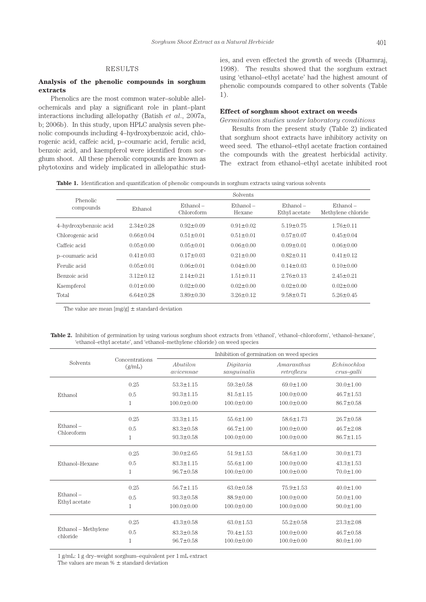# RESULTS

# **Analysis of the phenolic compounds in sorghum extracts**

Phenolics are the most common water–soluble allelochemicals and play a significant role in plant–plant interactions including allelopathy (Batish *et al*., 2007a, b; 2006b). In this study, upon HPLC analysis seven phenolic compounds including 4–hydroxybenzoic acid, chlorogenic acid, caffeic acid, p–coumaric acid, ferulic acid, benzoic acid, and kaempferol were identified from sorghum shoot. All these phenolic compounds are known as phytotoxins and widely implicated in allelopathic studies, and even effected the growth of weeds (Dharmraj, 1998). The results showed that the sorghum extract using 'ethanol–ethyl acetate' had the highest amount of phenolic compounds compared to other solvents (Table 1).

### **Effect of sorghum shoot extract on weeds**

*Germination studies under laboratory conditions* Results from the present study (Table 2) indicated that sorghum shoot extracts have inhibitory activity on weed seed. The ethanol–ethyl acetate fraction contained the compounds with the greatest herbicidal activity. The extract from ethanol–ethyl acetate inhibited root

**Table 1.** Identification and quantification of phenolic compounds in sorghum extracts using various solvents

| Phenolic<br>compounds | <b>Solvents</b> |                           |                       |                              |                                   |  |
|-----------------------|-----------------|---------------------------|-----------------------|------------------------------|-----------------------------------|--|
|                       | Ethanol         | $Ethanol -$<br>Chloroform | $Ethanol =$<br>Hexane | $Ethanol =$<br>Ethyl acetate | $Ethanol -$<br>Methylene chloride |  |
| 4-hydroxybenzoic acid | $2.34 \pm 0.28$ | $0.92 \pm 0.09$           | $0.91 \pm 0.02$       | $5.19 \pm 0.75$              | $1.76 \pm 0.11$                   |  |
| Chlorogenic acid      | $0.66 \pm 0.04$ | $0.51 \pm 0.01$           | $0.51 \pm 0.01$       | $0.57 \pm 0.07$              | $0.45 \pm 0.04$                   |  |
| Caffeic acid          | $0.05 \pm 0.00$ | $0.05 \pm 0.01$           | $0.06 \pm 0.00$       | $0.09 \pm 0.01$              | $0.06 \pm 0.00$                   |  |
| p-coumaric acid       | $0.41 \pm 0.03$ | $0.17 \pm 0.03$           | $0.21 \pm 0.00$       | $0.82+0.11$                  | $0.41 \pm 0.12$                   |  |
| Ferulic acid          | $0.05 \pm 0.01$ | $0.06 \pm 0.01$           | $0.04 \pm 0.00$       | $0.14 \pm 0.03$              | $0.10 \pm 0.00$                   |  |
| Benzoic acid          | $3.12 \pm 0.12$ | $2.14 \pm 0.21$           | $1.51 \pm 0.11$       | $2.76 \pm 0.13$              | $2.45 \pm 0.21$                   |  |
| Kaempferol            | $0.01 \pm 0.00$ | $0.02 \pm 0.00$           | $0.02 \pm 0.00$       | $0.02 \pm 0.00$              | $0.02 \pm 0.00$                   |  |
| Total                 | $6.64 \pm 0.28$ | $3.89 \pm 0.30$           | $3.26 \pm 0.12$       | $9.58 \pm 0.71$              | $5.26 \pm 0.45$                   |  |
|                       |                 |                           |                       |                              |                                   |  |

The value are mean  $[mg/g] \pm$  standard deviation

**Table 2.** Inhibition of germination by using various sorghum shoot extracts from 'ethanol', 'ethanol–chloroform', 'ethanol–hexane', 'ethanol–ethyl acetate', and 'ethanol–methylene chloride) on weed species

| Solvents                        |                          | Inhibition of germination on weed species |                          |                          |                              |
|---------------------------------|--------------------------|-------------------------------------------|--------------------------|--------------------------|------------------------------|
|                                 | Concentrations<br>(g/mL) | Abutilon<br>avicennae                     | Digitaria<br>sanguinalis | Amaranthus<br>retroflexu | Echinochloa<br>$crus$ -qalli |
| Ethanol                         | 0.25                     | $53.3 \pm 1.15$                           | $59.3 \pm 0.58$          | $69.0 \pm 1.00$          | $30.0 \pm 1.00$              |
|                                 | 0.5                      | $93.3 \pm 1.15$                           | $815+115$                | $100.0 \pm 0.00$         | $46.7 \pm 1.53$              |
|                                 | $\mathbf{1}$             | $100.0 \pm 0.00$                          | $100.0 \pm 0.00$         | $100.0 \pm 0.00$         | $86.7 \pm 0.58$              |
| $Ethanol -$<br>Chloroform       | 0.25                     | $33.3 \pm 1.15$                           | $55.6 \pm 1.00$          | $58.6 \pm 1.73$          | $26.7 \pm 0.58$              |
|                                 | 0.5                      | $83.3 \pm 0.58$                           | $66.7 \pm 1.00$          | $100.0 \pm 0.00$         | $467 + 208$                  |
|                                 | 1                        | $93.3 \pm 0.58$                           | $100.0 \pm 0.00$         | $100.0 \pm 0.00$         | $86.7 \pm 1.15$              |
| Ethanol-Hexane                  | 0.25                     | $30.0 \pm 2.65$                           | $51.9 \pm 1.53$          | $58.6 \pm 1.00$          | $30.0 \pm 1.73$              |
|                                 | 0.5                      | $83.3 + 1.15$                             | $556+100$                | $1000 + 000$             | $43.3 + 1.53$                |
|                                 | $\mathbf{1}$             | $96.7 \pm 0.58$                           | $100.0 \pm 0.00$         | $100.0 \pm 0.00$         | $70.0 \pm 1.00$              |
| $Ethanol -$<br>Ethyl acetate    | 0.25                     | $56.7 \pm 1.15$                           | $63.0 \pm 0.58$          | $75.9 \pm 1.53$          | $40.0 \pm 1.00$              |
|                                 | 0.5                      | $93.3 \pm 0.58$                           | $88.9 \pm 0.00$          | $100.0 \pm 0.00$         | $50.0 \pm 1.00$              |
|                                 | 1                        | $100.0 \pm 0.00$                          | $100.0 \pm 0.00$         | $100.0 \pm 0.00$         | $90.0 \pm 1.00$              |
| Ethanol - Methylene<br>chloride | 0.25                     | $43.3 \pm 0.58$                           | $63.0 \pm 1.53$          | $55.2 \pm 0.58$          | $23.3 \pm 2.08$              |
|                                 | 0.5                      | $83.3 \pm 0.58$                           | $70.4 \pm 1.53$          | $100.0 \pm 0.00$         | $46.7 \pm 0.58$              |
|                                 | 1                        | $96.7 \pm 0.58$                           | $100.0 \pm 0.00$         | $100.0 \pm 0.00$         | $80.0 \pm 1.00$              |

1 g/mL: 1 g dry–weight sorghum–equivalent per 1 mL extract The values are mean  $\%$   $\pm$  standard deviation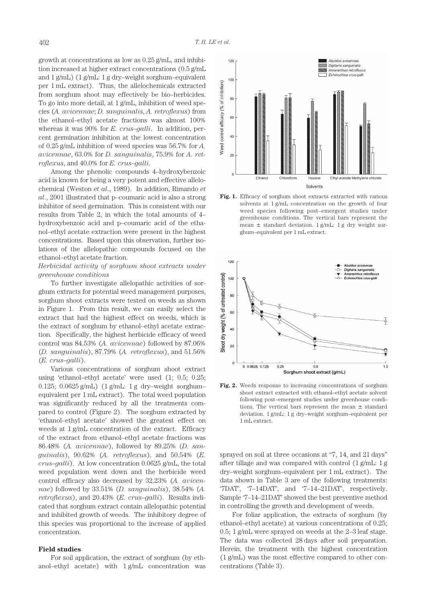growth at concentrations as low as 0.25 g/mL, and inhibition increased at higher extract concentrations (0.5 g/mL and 1 g/mL) (1 g/mL: 1 g dry–weight sorghum–equivalent per 1 mL extract). Thus, the allelochemicals extracted from sorghum shoot may effectively be bio–herbicides. To go into more detail, at 1 g/mL, inhibition of weed species (*A. avicennae*; *D. sanguinalis*, *A. retroflexus*) from the ethanol–ethyl acetate fractions was almost 100% whereas it was 90% for *E. crus–galli*. In addition, percent germination inhibition at the lowest concentration of 0.25 g/mL inhibition of weed species was 56.7% for *A. avicennae*, 63.0% for *D. sanguinalis*, 75.9% for *A. retroflexus*, and 40.0% for *E. crus–galli*.

Among the phenolic compounds 4–hydroxybenzoic acid is known for being a very potent and effective allelochemical (Weston *et al*., 1989). In addition, Rimando *et al*., 2001 illustrated that p–coumaric acid is also a strong inhibitor of seed germination. This is consistent with our results from Table 2, in which the total amounts of 4– hydroxybenzoic acid and p–coumaric acid of the ethanol–ethyl acetate extraction were present in the highest concentrations. Based upon this observation, further isolations of the allelopathic compounds focused on the ethanol–ethyl acetate fraction.

# *Herbicidal activity of sorghum shoot extracts under greenhouse conditions*

To further investigate allelopathic activities of sorghum extracts for potential weed management purposes, sorghum shoot extracts were tested on weeds as shown in Figure 1. From this result, we can easily select the extract that had the highest effect on weeds, which is the extract of sorghum by ethanol–ethyl acetate extraction. Specifically, the highest herbicide efficacy of weed control was 84.53% (*A. avicennae*) followed by 87.06% (*D. sanguinalis*), 87.79% (*A. retroflexus*), and 51.56% (*E. crus–galli*).

Various concentrations of sorghum shoot extract using 'ethanol–ethyl acetate' were used (1; 0.5; 0.25; 0.125; 0.0625 g/mL) (1 g/mL: 1 g dry–weight sorghum– equivalent per 1 mL extract). The total weed population was significantly reduced by all the treatments compared to control (Figure 2). The sorghum extracted by 'ethanol–ethyl acetate' showed the greatest effect on weeds at 1 g/mL concentration of the extract. Efficacy of the extract from ethanol–ethyl acetate fractions was 86.48% (*A. avicennae*), followed by 89.25% (*D. sanguinalis*), 90.62% (*A. retroflexus*), and 50.54% (*E. crus–galli*). At low concentration 0.0625 g/mL, the total weed population went down and the herbicide weed control efficacy also decreased by 32.23% (*A. avicennae*) followed by 33.51% (*D. sanguinalis*), 38.54% (*A. retroflexus*), and 20.43% (*E. crus–galli*). Results indicated that sorghum extract contain allelopathic potential and inhibited growth of weeds. The inhibitory degree of this species was proportional to the increase of applied concentration.

#### **Field studies**

For soil application, the extract of sorghum (by ethanol–ethyl acetate) with 1 g/mL concentration was



Fig. 1. Efficacy of sorghum shoot extracts extracted with various solvents at 1 g/mL concentration on the growth of four weed species following post–emergent studies under greenhouse conditions. The vertical bars represent the mean  $\pm$  standard deviation. 1 g/mL: 1 g dry weight sorghum–equivalent per 1 mL extract.



**Fig. 2.** Weeds response to increasing concentrations of sorghum shoot extract extracted with ethanol–ethyl acetate solvent following post–emergent studies under greenhouse conditions. The vertical bars represent the mean ± standard deviation. 1 g/mL: 1 g dry–weight sorghum–equivalent per 1 mL extract.

sprayed on soil at three occasions at "7, 14, and 21 days" after tillage and was compared with control (1 g/mL: 1 g dry–weight sorghum–equivalent per 1 mL extract). The data shown in Table 3 are of the following treatments: '7DAT', '7–14DAT', and '7–14–21DAT', respectively. Sample '7–14–21DAT' showed the best preventive method in controlling the growth and development of weeds.

For foliar application, the extracts of sorghum (by ethanol–ethyl acetate) at various concentrations of 0.25; 0.5; 1 g/mL were sprayed on weeds at the 2–3 leaf stage. The data was collected 28 days after soil preparation. Herein, the treatment with the highest concentration (1 g/mL) was the most effective compared to other concentrations (Table 3).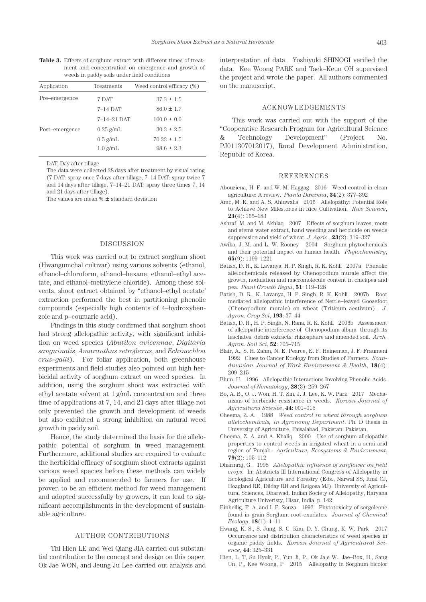**Table 3.** Effects of sorghum extract with different times of treatment and concentration on emergence and growth of weeds in paddy soils under field conditions

| Application    | Treatments         | Weed control efficacy (%) |
|----------------|--------------------|---------------------------|
| Pre-emergence  | 7 DAT              | $37.3 \pm 1.5$            |
|                | $7-14$ DAT         | $86.0 \pm 1.7$            |
|                | $7-14-21$ DAT      | $100.0 \pm 0.0$           |
| Post-emergence | $0.25$ g/mL        | $30.3 \pm 2.5$            |
|                | $0.5 \text{ g/mL}$ | $70.33 \pm 1.5$           |
|                | $1.0$ g/mL         | $98.6 \pm 2.3$            |

DAT, Day after tillage

The data were collected 28 days after treatment by visual rating (7 DAT: spray once 7 days after tillage, 7–14 DAT: spray twice 7 and 14 days after tillage, 7–14–21 DAT: spray three times 7, 14 and 21 days after tillage).

The values are mean  $% \pm$  standard deviation

#### DISCUSSION

This work was carried out to extract sorghum shoot (Hwangumchal cultivar) using various solvents (ethanol, ethanol–chloroform, ethanol–hexane, ethanol–ethyl acetate, and ethanol–methylene chloride). Among these solvents, shoot extract obtained by "ethanol–ethyl acetate' extraction performed the best in partitioning phenolic compounds (especially high contents of 4–hydroxybenzoic and p–coumaric acid).

Findings in this study confirmed that sorghum shoot had strong allelopathic activity, with significant inhibition on weed species (*Abutilon avicennae*, *Digitaria sanguinalis*, *Amaranthus retroflexus*, and *Echinochloa crus–galli*). For foliar application, both greenhouse experiments and field studies also pointed out high herbicidal activity of sorghum extract on weed species. In addition, using the sorghum shoot was extracted with ethyl acetate solvent at 1 g/mL concentration and three time of applications at 7, 14, and 21 days after tillage not only prevented the growth and development of weeds but also exhibited a strong inhibition on natural weed growth in paddy soil.

Hence, the study determined the basis for the allelopathic potential of sorghum in weed management. Furthermore, additional studies are required to evaluate the herbicidal efficacy of sorghum shoot extracts against various weed species before these methods can widely be applied and recommended to farmers for use. If proven to be an efficient method for weed management and adopted successfully by growers, it can lead to significant accomplishments in the development of sustainable agriculture.

#### AUTHOR CONTRIBUTIONS

Thi Hien LE and Wei Qiang JIA carried out substantial contribution to the concept and design on this paper. Ok Jae WON, and Jeung Ju Lee carried out analysis and interpretation of data. Yoshiyuki SHINOGI verified the data. Kee Woong PARK and Taek–Keun OH supervised the project and wrote the paper. All authors commented on the manuscript.

#### ACKNOWLEDGEMENTS

This work was carried out with the support of the "Cooperative Research Program for Agricultural Science & Technology Development" (Project No. PJ011307012017), Rural Development Administration, Republic of Korea.

### REFERENCES

- Abouziena, H. F. and W. M. Haggag 2016 Weed control in clean agriculture: A review. *Planta Daninha*, **34**(2): 377–392
- Amb, M. K. and A. S. Ahluwalia 2016 Allelopathy: Potential Role to Achieve New Milestones in Rice Cultivation. *Rice Science*, **23**(4): 165–183
- Ashraf, M. and M. Akhlaq 2007 Effects of sorghum leaves, roots and stems water extract, hand weeding and herbicide on weeds suppression and yield of wheat. *J. Agric*., **23**(2): 319–327
- Awika, J. M. and L. W. Rooney 2004 Sorghum phytochemicals and their potential impact on human health. *Phytochemistry*, **65**(9): 1199–1221
- Batish, D. R., K. Lavanya, H. P. Singh, R. K. Kohli 2007a Phenolic allelochemicals released by Chenopodium murale affect the growth, nodulation and macromolecule content in chickpea and pea. *Plant Growth Regul*, **51**: 119–128
- Batish, D. R., K. Lavanya, H. P. Singh, R. K. Kohli 2007b Root mediated allelopathic interference of Nettle–leaved Goosefoot (Chenopodium murale) on wheat (Triticum aestivum). *J. Agron. Crop Sci*, **193**: 37–44
- Batish, D. R., H. P. Singh, N. Rana, R. K. Kohli 2006b Assessment of allelopathic interference of Chenopodium album through its leachates, debris extracts, rhizosphere and amended soil. *Arch. Agron. Soil Sci*, **52**: 705–715
- Blair, A., S. H. Zahm, N. E. Pearce, E. F. Heineman, J. F. Fraumeni 1992 Clues to Cancer Etiology from Studies of Farmers. *Scandinavian Journal of Work Environment & Health*, **18**(4): 209–215
- Blum, U. 1996 Allelopathic Interactions Involving Phenolic Acids. *Journal of Nematology*, **28**(3): 259–267
- Bo, A. B., O. J. Won, H. T. Sin, J. J. Lee, K. W. Park 2017 Mechanisms of herbicide resistance in weeds. *Korean Journal of Agricultural Science*, **44**: 001–015
- Cheema, Z. A. 1988 *Weed control in wheat through sorghum allelochemicals, in Agronomy Department*. Ph. D thesis in University of Agriculture, Faisalabad, Pakistan: Pakistan.
- Cheema, Z. A. and A. Khaliq 2000 Use of sorghum allelopathic properties to control weeds in irrigated wheat in a semi arid region of Punjab. *Agriculture, Ecosystems & Environment*, **79**(2): 105–112
- Dharmraj, G. 1998 *Allelopathic influence of sunflower on field crops*. In: Abstracts III International Congress of Allelopathy in Ecological Agriculture and Forestry (Eds., Narwal SS, Itnal CJ, Hoagland RE, Dilday RH and Reigosa MJ). University of Agricultural Sciences, Dharwad. Indian Society of Allelopathy, Haryana Agriculture Univeristy, Hisar, India. p. 142
- Einhellig, F. A. and I. F. Souza 1992 Phytotoxicity of sorgoleone found in grain Sorghum root exudates. *Journal of Chemical Ecology*, **18**(1): 1–11
- Hwang, K. S., S. Jung, S. C. Kim, D. Y. Chung, K. W. Park 2017 Occurrence and distribution characteristics of weed species in organic paddy fields. *Korean Journal of Agricultural Science*, **44**: 325–331
- Hien, L. T, Su Hyuk, P., Yun Ji, P., Ok Ja,e W., Jae–Box, H., Sang Un, P., Kee Woong, P 2015 Allelopathy in Sorghum bicolor